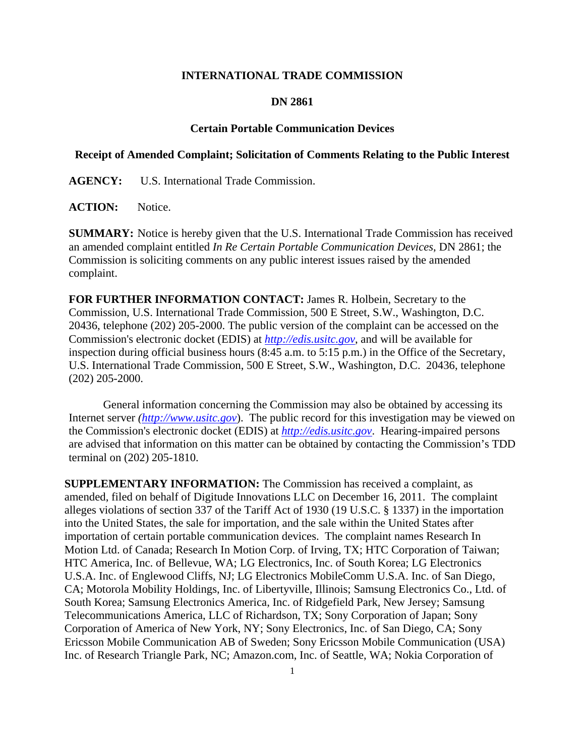## **INTERNATIONAL TRADE COMMISSION**

## **DN 2861**

## **Certain Portable Communication Devices**

## **Receipt of Amended Complaint; Solicitation of Comments Relating to the Public Interest**

**AGENCY:** U.S. International Trade Commission.

ACTION: Notice.

**SUMMARY:** Notice is hereby given that the U.S. International Trade Commission has received an amended complaint entitled *In Re Certain Portable Communication Devices*, DN 2861; the Commission is soliciting comments on any public interest issues raised by the amended complaint.

**FOR FURTHER INFORMATION CONTACT:** James R. Holbein, Secretary to the Commission, U.S. International Trade Commission, 500 E Street, S.W., Washington, D.C. 20436, telephone (202) 205-2000. The public version of the complaint can be accessed on the Commission's electronic docket (EDIS) at *http://edis.usitc.gov*, and will be available for inspection during official business hours (8:45 a.m. to 5:15 p.m.) in the Office of the Secretary, U.S. International Trade Commission, 500 E Street, S.W., Washington, D.C. 20436, telephone (202) 205-2000.

General information concerning the Commission may also be obtained by accessing its Internet server *(http://www.usitc.gov*). The public record for this investigation may be viewed on the Commission's electronic docket (EDIS) at *http://edis.usitc.gov*. Hearing-impaired persons are advised that information on this matter can be obtained by contacting the Commission's TDD terminal on (202) 205-1810.

**SUPPLEMENTARY INFORMATION:** The Commission has received a complaint, as amended, filed on behalf of Digitude Innovations LLC on December 16, 2011. The complaint alleges violations of section 337 of the Tariff Act of 1930 (19 U.S.C. § 1337) in the importation into the United States, the sale for importation, and the sale within the United States after importation of certain portable communication devices. The complaint names Research In Motion Ltd. of Canada; Research In Motion Corp. of Irving, TX; HTC Corporation of Taiwan; HTC America, Inc. of Bellevue, WA; LG Electronics, Inc. of South Korea; LG Electronics U.S.A. Inc. of Englewood Cliffs, NJ; LG Electronics MobileComm U.S.A. Inc. of San Diego, CA; Motorola Mobility Holdings, Inc. of Libertyville, Illinois; Samsung Electronics Co., Ltd. of South Korea; Samsung Electronics America, Inc. of Ridgefield Park, New Jersey; Samsung Telecommunications America, LLC of Richardson, TX; Sony Corporation of Japan; Sony Corporation of America of New York, NY; Sony Electronics, Inc. of San Diego, CA; Sony Ericsson Mobile Communication AB of Sweden; Sony Ericsson Mobile Communication (USA) Inc. of Research Triangle Park, NC; Amazon.com, Inc. of Seattle, WA; Nokia Corporation of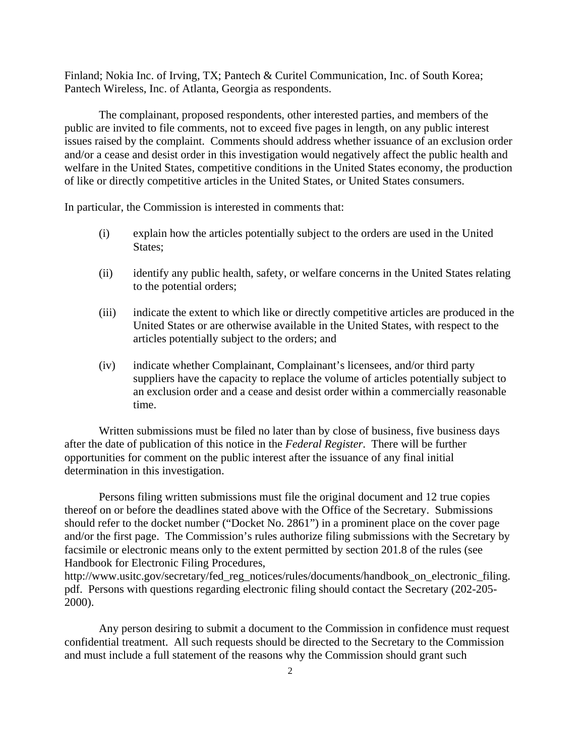Finland; Nokia Inc. of Irving, TX; Pantech & Curitel Communication, Inc. of South Korea; Pantech Wireless, Inc. of Atlanta, Georgia as respondents.

 The complainant, proposed respondents, other interested parties, and members of the public are invited to file comments, not to exceed five pages in length, on any public interest issues raised by the complaint. Comments should address whether issuance of an exclusion order and/or a cease and desist order in this investigation would negatively affect the public health and welfare in the United States, competitive conditions in the United States economy, the production of like or directly competitive articles in the United States, or United States consumers.

In particular, the Commission is interested in comments that:

- (i) explain how the articles potentially subject to the orders are used in the United States;
- (ii) identify any public health, safety, or welfare concerns in the United States relating to the potential orders;
- (iii) indicate the extent to which like or directly competitive articles are produced in the United States or are otherwise available in the United States, with respect to the articles potentially subject to the orders; and
- (iv) indicate whether Complainant, Complainant's licensees, and/or third party suppliers have the capacity to replace the volume of articles potentially subject to an exclusion order and a cease and desist order within a commercially reasonable time.

 Written submissions must be filed no later than by close of business, five business days after the date of publication of this notice in the *Federal Register*. There will be further opportunities for comment on the public interest after the issuance of any final initial determination in this investigation.

 Persons filing written submissions must file the original document and 12 true copies thereof on or before the deadlines stated above with the Office of the Secretary. Submissions should refer to the docket number ("Docket No. 2861") in a prominent place on the cover page and/or the first page. The Commission's rules authorize filing submissions with the Secretary by facsimile or electronic means only to the extent permitted by section 201.8 of the rules (see Handbook for Electronic Filing Procedures,

http://www.usitc.gov/secretary/fed\_reg\_notices/rules/documents/handbook\_on\_electronic\_filing. pdf. Persons with questions regarding electronic filing should contact the Secretary (202-205- 2000).

 Any person desiring to submit a document to the Commission in confidence must request confidential treatment. All such requests should be directed to the Secretary to the Commission and must include a full statement of the reasons why the Commission should grant such